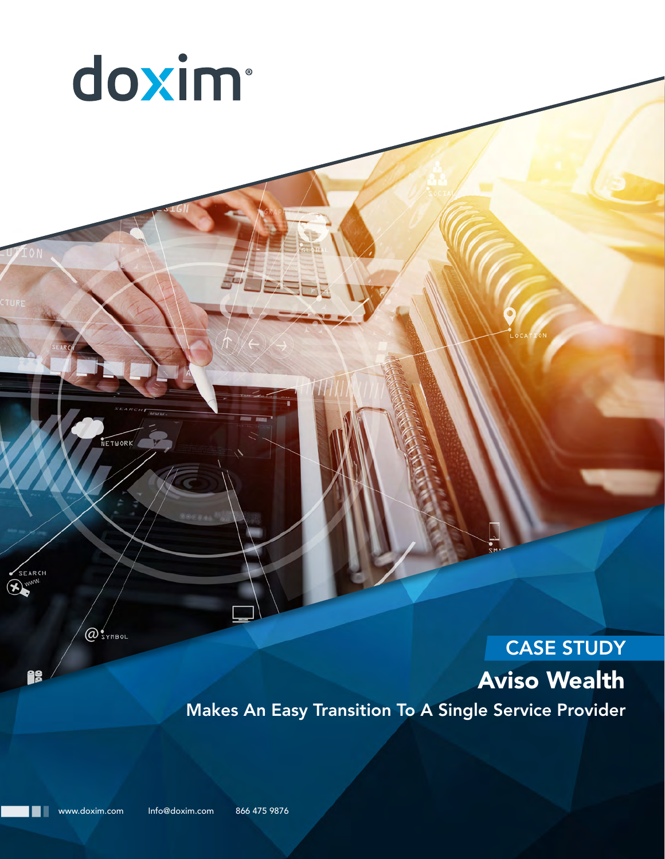

@SYMBOL

SEARCH

js

NETWORK

# CASE STUDY Aviso Wealth

Makes An Easy Transition To A Single Service Provider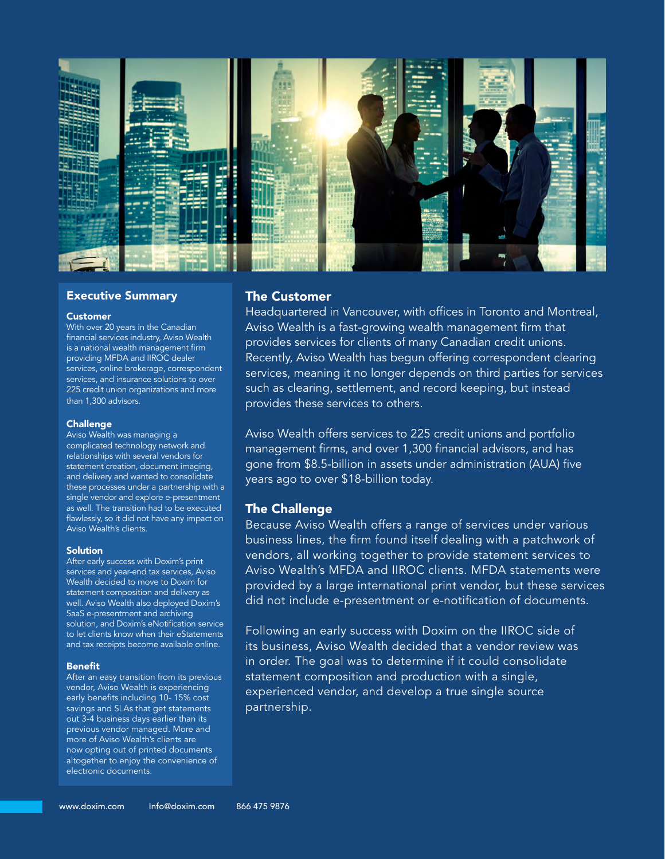

## Executive Summary

#### Customer

With over 20 years in the Canadian financial services industry, Aviso Wealth is a national wealth management firm providing MFDA and IIROC dealer services, online brokerage, correspondent services, and insurance solutions to over 225 credit union organizations and more than 1,300 advisors.

### Challenge

Aviso Wealth was managing a complicated technology network and relationships with several vendors for statement creation, document imaging, and delivery and wanted to consolidate these processes under a partnership with a single vendor and explore e-presentment as well. The transition had to be executed flawlessly, so it did not have any impact on Aviso Wealth's clients.

#### Solution

After early success with Doxim's print services and year-end tax services, Aviso Wealth decided to move to Doxim for statement composition and delivery as well. Aviso Wealth also deployed Doxim's SaaS e-presentment and archiving solution, and Doxim's eNotification service to let clients know when their eStatements and tax receipts become available online.

#### Benefit

After an easy transition from its previous vendor, Aviso Wealth is experiencing early benefits including 10- 15% cost savings and SLAs that get statements out 3-4 business days earlier than its previous vendor managed. More and more of Aviso Wealth's clients are now opting out of printed documents altogether to enjoy the convenience of electronic documents.

# The Customer

Headquartered in Vancouver, with offices in Toronto and Montreal, Aviso Wealth is a fast-growing wealth management firm that provides services for clients of many Canadian credit unions. Recently, Aviso Wealth has begun offering correspondent clearing services, meaning it no longer depends on third parties for services such as clearing, settlement, and record keeping, but instead provides these services to others.

Aviso Wealth offers services to 225 credit unions and portfolio management firms, and over 1,300 financial advisors, and has gone from \$8.5-billion in assets under administration (AUA) five years ago to over \$18-billion today.

# The Challenge

Because Aviso Wealth offers a range of services under various business lines, the firm found itself dealing with a patchwork of vendors, all working together to provide statement services to Aviso Wealth's MFDA and IIROC clients. MFDA statements were provided by a large international print vendor, but these services did not include e-presentment or e-notification of documents.

Following an early success with Doxim on the IIROC side of its business, Aviso Wealth decided that a vendor review was in order. The goal was to determine if it could consolidate statement composition and production with a single, experienced vendor, and develop a true single source partnership.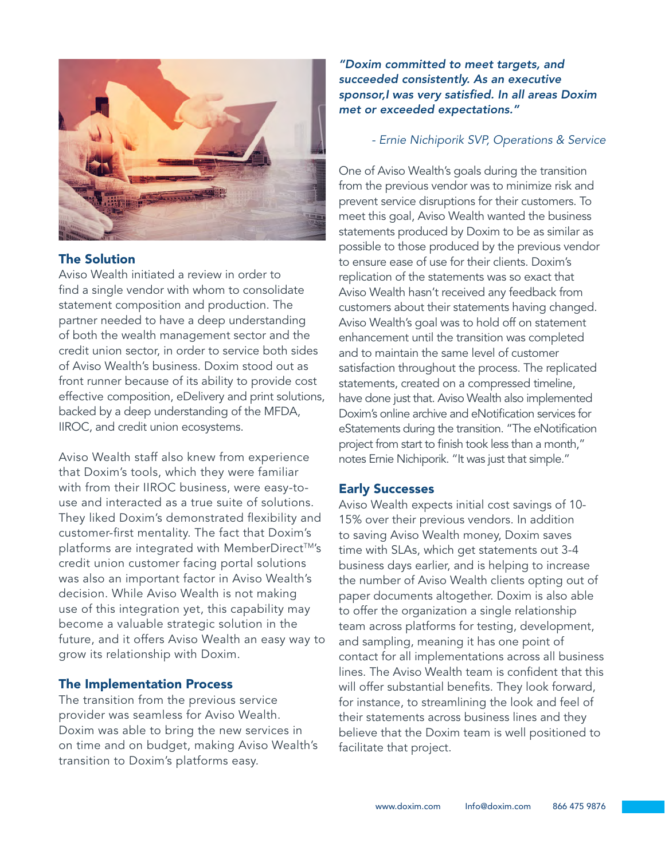

# The Solution

Aviso Wealth initiated a review in order to find a single vendor with whom to consolidate statement composition and production. The partner needed to have a deep understanding of both the wealth management sector and the credit union sector, in order to service both sides of Aviso Wealth's business. Doxim stood out as front runner because of its ability to provide cost effective composition, eDelivery and print solutions, backed by a deep understanding of the MFDA, IIROC, and credit union ecosystems.

Aviso Wealth staff also knew from experience that Doxim's tools, which they were familiar with from their IIROC business, were easy-touse and interacted as a true suite of solutions. They liked Doxim's demonstrated flexibility and customer-first mentality. The fact that Doxim's platforms are integrated with MemberDirect™'s credit union customer facing portal solutions was also an important factor in Aviso Wealth's decision. While Aviso Wealth is not making use of this integration yet, this capability may become a valuable strategic solution in the future, and it offers Aviso Wealth an easy way to grow its relationship with Doxim.

# The Implementation Process

The transition from the previous service provider was seamless for Aviso Wealth. Doxim was able to bring the new services in on time and on budget, making Aviso Wealth's transition to Doxim's platforms easy.

*"Doxim committed to meet targets, and succeeded consistently. As an executive sponsor,I was very satisfied. In all areas Doxim met or exceeded expectations."*

# *- Ernie Nichiporik SVP, Operations & Service*

One of Aviso Wealth's goals during the transition from the previous vendor was to minimize risk and prevent service disruptions for their customers. To meet this goal, Aviso Wealth wanted the business statements produced by Doxim to be as similar as possible to those produced by the previous vendor to ensure ease of use for their clients. Doxim's replication of the statements was so exact that Aviso Wealth hasn't received any feedback from customers about their statements having changed. Aviso Wealth's goal was to hold off on statement enhancement until the transition was completed and to maintain the same level of customer satisfaction throughout the process. The replicated statements, created on a compressed timeline, have done just that. Aviso Wealth also implemented Doxim's online archive and eNotification services for eStatements during the transition. "The eNotification project from start to finish took less than a month," notes Ernie Nichiporik. "It was just that simple."

# Early Successes

Aviso Wealth expects initial cost savings of 10- 15% over their previous vendors. In addition to saving Aviso Wealth money, Doxim saves time with SLAs, which get statements out 3-4 business days earlier, and is helping to increase the number of Aviso Wealth clients opting out of paper documents altogether. Doxim is also able to offer the organization a single relationship team across platforms for testing, development, and sampling, meaning it has one point of contact for all implementations across all business lines. The Aviso Wealth team is confident that this will offer substantial benefits. They look forward, for instance, to streamlining the look and feel of their statements across business lines and they believe that the Doxim team is well positioned to facilitate that project.